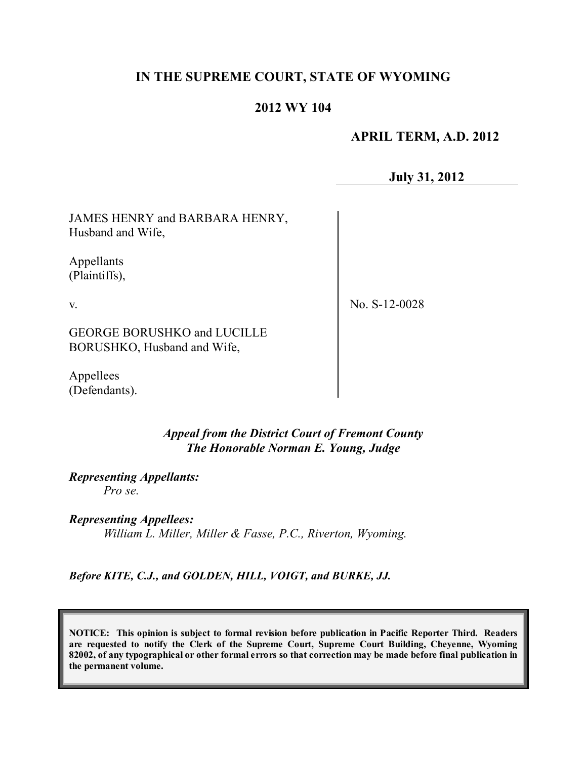## **IN THE SUPREME COURT, STATE OF WYOMING**

# **2012 WY 104**

#### **APRIL TERM, A.D. 2012**

**July 31, 2012**

JAMES HENRY and BARBARA HENRY, Husband and Wife,

Appellants (Plaintiffs),

v.

No. S-12-0028

GEORGE BORUSHKO and LUCILLE BORUSHKO, Husband and Wife,

Appellees (Defendants).

> *Appeal from the District Court of Fremont County The Honorable Norman E. Young, Judge*

*Representing Appellants: Pro se.*

*Representing Appellees: William L. Miller, Miller & Fasse, P.C., Riverton, Wyoming.*

*Before KITE, C.J., and GOLDEN, HILL, VOIGT, and BURKE, JJ.*

**NOTICE: This opinion is subject to formal revision before publication in Pacific Reporter Third. Readers are requested to notify the Clerk of the Supreme Court, Supreme Court Building, Cheyenne, Wyoming** 82002, of any typographical or other formal errors so that correction may be made before final publication in **the permanent volume.**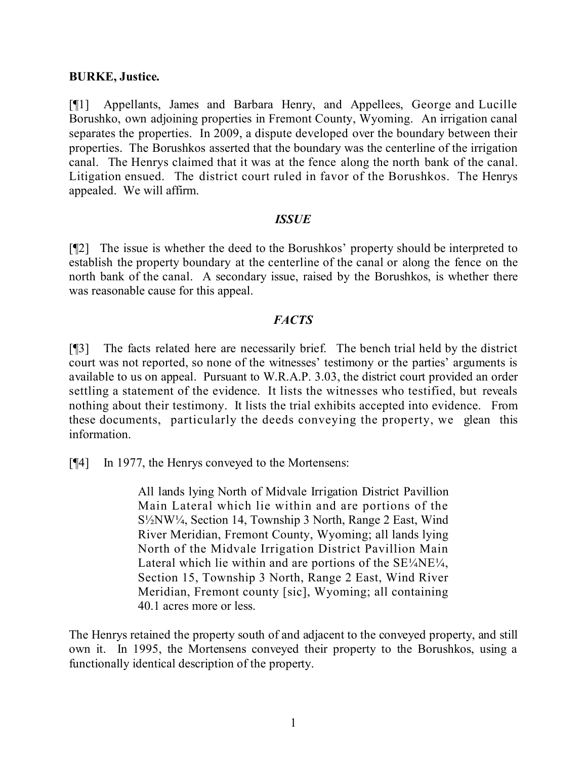#### **BURKE, Justice.**

[¶1] Appellants, James and Barbara Henry, and Appellees, George and Lucille Borushko, own adjoining properties in Fremont County, Wyoming. An irrigation canal separates the properties. In 2009, a dispute developed over the boundary between their properties. The Borushkos asserted that the boundary was the centerline of the irrigation canal. The Henrys claimed that it was at the fence along the north bank of the canal. Litigation ensued. The district court ruled in favor of the Borushkos. The Henrys appealed. We will affirm.

#### *ISSUE*

[¶2] The issue is whether the deed to the Borushkos' property should be interpreted to establish the property boundary at the centerline of the canal or along the fence on the north bank of the canal. A secondary issue, raised by the Borushkos, is whether there was reasonable cause for this appeal.

#### *FACTS*

[¶3] The facts related here are necessarily brief. The bench trial held by the district court was not reported, so none of the witnesses' testimony or the parties' arguments is available to us on appeal. Pursuant to W.R.A.P. 3.03, the district court provided an order settling a statement of the evidence. It lists the witnesses who testified, but reveals nothing about their testimony. It lists the trial exhibits accepted into evidence. From these documents, particularly the deeds conveying the property, we glean this information.

[¶4] In 1977, the Henrys conveyed to the Mortensens:

All lands lying North of Midvale Irrigation District Pavillion Main Lateral which lie within and are portions of the S½NW¼, Section 14, Township 3 North, Range 2 East, Wind River Meridian, Fremont County, Wyoming; all lands lying North of the Midvale Irrigation District Pavillion Main Lateral which lie within and are portions of the  $SE<sup>1</sup>/ANE<sup>1</sup>/A$ , Section 15, Township 3 North, Range 2 East, Wind River Meridian, Fremont county [sic], Wyoming; all containing 40.1 acres more or less.

The Henrys retained the property south of and adjacent to the conveyed property, and still own it. In 1995, the Mortensens conveyed their property to the Borushkos, using a functionally identical description of the property.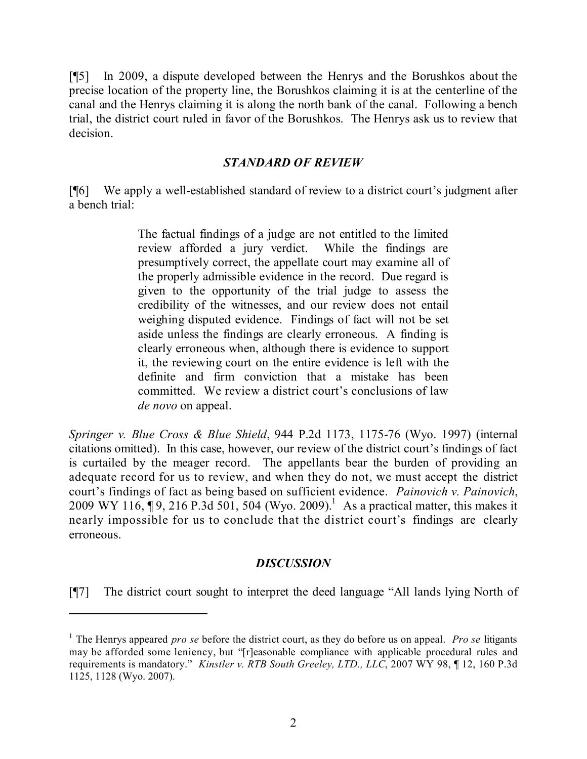[¶5] In 2009, a dispute developed between the Henrys and the Borushkos about the precise location of the property line, the Borushkos claiming it is at the centerline of the canal and the Henrys claiming it is along the north bank of the canal. Following a bench trial, the district court ruled in favor of the Borushkos. The Henrys ask us to review that decision.

### *STANDARD OF REVIEW*

[¶6] We apply a well-established standard of review to a district court's judgment after a bench trial:

> The factual findings of a judge are not entitled to the limited review afforded a jury verdict. While the findings are presumptively correct, the appellate court may examine all of the properly admissible evidence in the record. Due regard is given to the opportunity of the trial judge to assess the credibility of the witnesses, and our review does not entail weighing disputed evidence. Findings of fact will not be set aside unless the findings are clearly erroneous. A finding is clearly erroneous when, although there is evidence to support it, the reviewing court on the entire evidence is left with the definite and firm conviction that a mistake has been committed. We review a district court's conclusions of law *de novo* on appeal.

*Springer v. Blue Cross & Blue Shield*, 944 P.2d 1173, 1175-76 (Wyo. 1997) (internal citations omitted). In this case, however, our review of the district court's findings of fact is curtailed by the meager record. The appellants bear the burden of providing an adequate record for us to review, and when they do not, we must accept the district court's findings of fact as being based on sufficient evidence. *Painovich v. Painovich*, 2009 WY 116,  $\P$ 9, 216 P.3d 501, 504 (Wyo. 2009).<sup>1</sup> As a practical matter, this makes it nearly impossible for us to conclude that the district court's findings are clearly erroneous.

### *DISCUSSION*

[¶7] The district court sought to interpret the deed language "All lands lying North of

<sup>1</sup> The Henrys appeared *pro se* before the district court, as they do before us on appeal. *Pro se* litigants may be afforded some leniency, but "[r]easonable compliance with applicable procedural rules and requirements is mandatory." *Kinstler v. RTB South Greeley, LTD., LLC*, 2007 WY 98, ¶ 12, 160 P.3d 1125, 1128 (Wyo. 2007).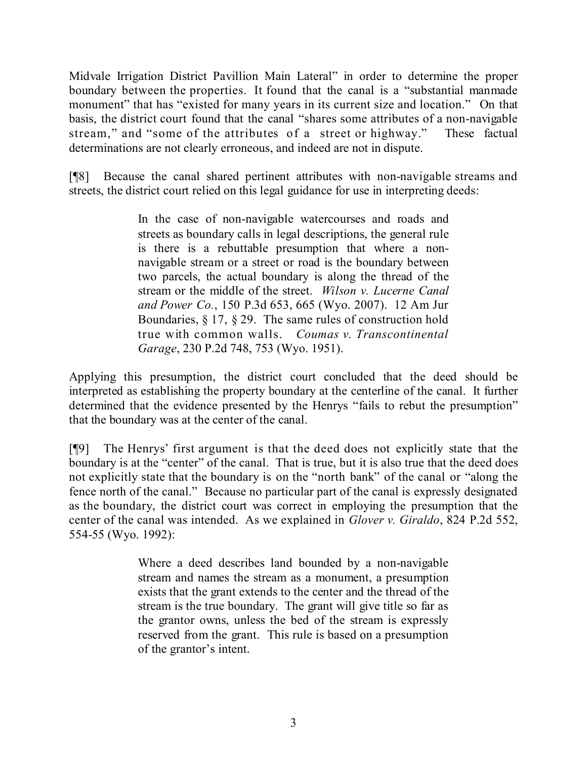Midvale Irrigation District Pavillion Main Lateral" in order to determine the proper boundary between the properties. It found that the canal is a "substantial manmade monument" that has "existed for many years in its current size and location." On that basis, the district court found that the canal "shares some attributes of a non-navigable stream," and "some of the attributes of a street or highway." These factual determinations are not clearly erroneous, and indeed are not in dispute.

[¶8] Because the canal shared pertinent attributes with non-navigable streams and streets, the district court relied on this legal guidance for use in interpreting deeds:

> In the case of non-navigable watercourses and roads and streets as boundary calls in legal descriptions, the general rule is there is a rebuttable presumption that where a nonnavigable stream or a street or road is the boundary between two parcels, the actual boundary is along the thread of the stream or the middle of the street. *Wilson v. Lucerne Canal and Power Co.*, 150 P.3d 653, 665 (Wyo. 2007). 12 Am Jur Boundaries, § 17, § 29. The same rules of construction hold true with common walls. *Coumas v. Transcontinental Garage*, 230 P.2d 748, 753 (Wyo. 1951).

Applying this presumption, the district court concluded that the deed should be interpreted as establishing the property boundary at the centerline of the canal. It further determined that the evidence presented by the Henrys "fails to rebut the presumption" that the boundary was at the center of the canal.

[¶9] The Henrys' first argument is that the deed does not explicitly state that the boundary is at the "center" of the canal. That is true, but it is also true that the deed does not explicitly state that the boundary is on the "north bank" of the canal or "along the fence north of the canal." Because no particular part of the canal is expressly designated as the boundary, the district court was correct in employing the presumption that the center of the canal was intended. As we explained in *Glover v. Giraldo*, 824 P.2d 552, 554-55 (Wyo. 1992):

> Where a deed describes land bounded by a non-navigable stream and names the stream as a monument, a presumption exists that the grant extends to the center and the thread of the stream is the true boundary. The grant will give title so far as the grantor owns, unless the bed of the stream is expressly reserved from the grant. This rule is based on a presumption of the grantor's intent.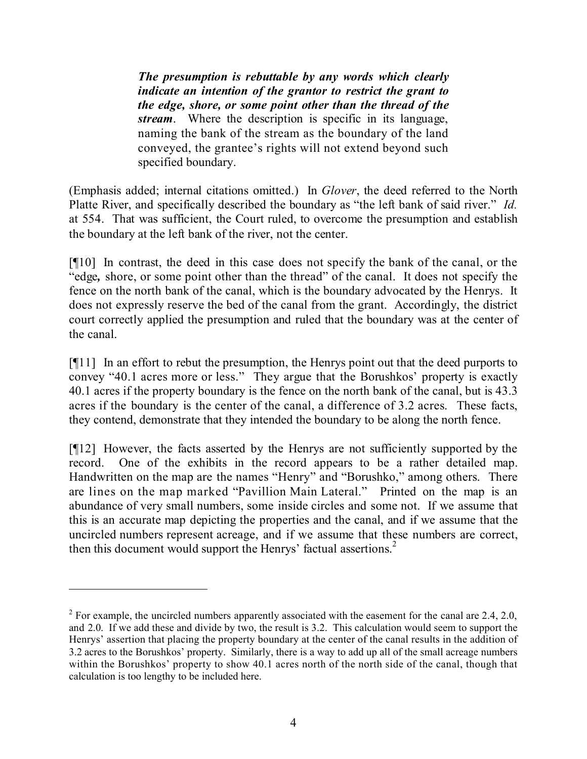*The presumption is rebuttable by any words which clearly indicate an intention of the grantor to restrict the grant to the edge, shore, or some point other than the thread of the stream*. Where the description is specific in its language, naming the bank of the stream as the boundary of the land conveyed, the grantee's rights will not extend beyond such specified boundary.

(Emphasis added; internal citations omitted.) In *Glover*, the deed referred to the North Platte River, and specifically described the boundary as "the left bank of said river." *Id.* at 554. That was sufficient, the Court ruled, to overcome the presumption and establish the boundary at the left bank of the river, not the center.

[¶10] In contrast, the deed in this case does not specify the bank of the canal, or the "edge*,* shore, or some point other than the thread" of the canal. It does not specify the fence on the north bank of the canal, which is the boundary advocated by the Henrys. It does not expressly reserve the bed of the canal from the grant. Accordingly, the district court correctly applied the presumption and ruled that the boundary was at the center of the canal.

[¶11] In an effort to rebut the presumption, the Henrys point out that the deed purports to convey "40.1 acres more or less." They argue that the Borushkos' property is exactly 40.1 acres if the property boundary is the fence on the north bank of the canal, but is 43.3 acres if the boundary is the center of the canal, a difference of 3.2 acres. These facts, they contend, demonstrate that they intended the boundary to be along the north fence.

[¶12] However, the facts asserted by the Henrys are not sufficiently supported by the record. One of the exhibits in the record appears to be a rather detailed map. Handwritten on the map are the names "Henry" and "Borushko," among others. There are lines on the map marked "Pavillion Main Lateral." Printed on the map is an abundance of very small numbers, some inside circles and some not. If we assume that this is an accurate map depicting the properties and the canal, and if we assume that the uncircled numbers represent acreage, and if we assume that these numbers are correct, then this document would support the Henrys' factual assertions. 2

<sup>&</sup>lt;sup>2</sup> For example, the uncircled numbers apparently associated with the easement for the canal are 2.4, 2.0, and 2.0. If we add these and divide by two, the result is 3.2. This calculation would seem to support the Henrys' assertion that placing the property boundary at the center of the canal results in the addition of 3.2 acres to the Borushkos' property. Similarly, there is a way to add up all of the small acreage numbers within the Borushkos' property to show 40.1 acres north of the north side of the canal, though that calculation is too lengthy to be included here.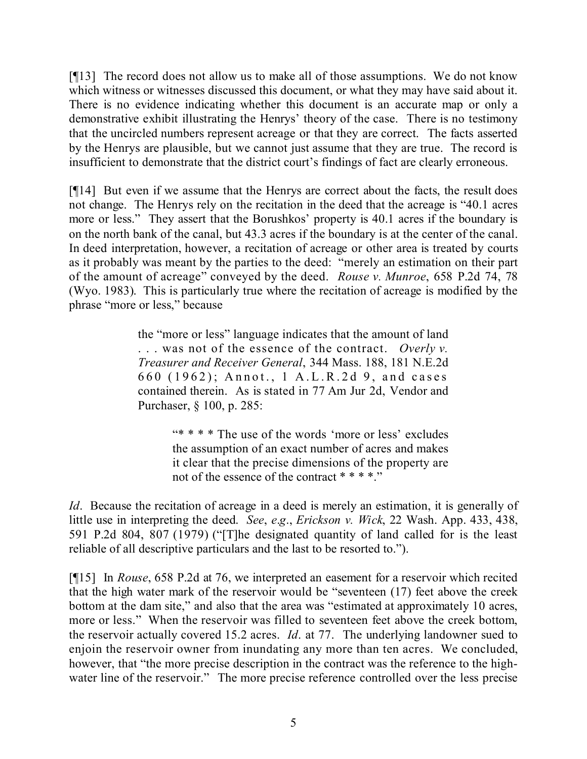[¶13] The record does not allow us to make all of those assumptions. We do not know which witness or witnesses discussed this document, or what they may have said about it. There is no evidence indicating whether this document is an accurate map or only a demonstrative exhibit illustrating the Henrys' theory of the case. There is no testimony that the uncircled numbers represent acreage or that they are correct. The facts asserted by the Henrys are plausible, but we cannot just assume that they are true. The record is insufficient to demonstrate that the district court's findings of fact are clearly erroneous.

[¶14] But even if we assume that the Henrys are correct about the facts, the result does not change. The Henrys rely on the recitation in the deed that the acreage is "40.1 acres more or less." They assert that the Borushkos' property is 40.1 acres if the boundary is on the north bank of the canal, but 43.3 acres if the boundary is at the center of the canal. In deed interpretation, however, a recitation of acreage or other area is treated by courts as it probably was meant by the parties to the deed: "merely an estimation on their part of the amount of acreage" conveyed by the deed. *Rouse v. Munroe*, 658 P.2d 74, 78 (Wyo. 1983). This is particularly true where the recitation of acreage is modified by the phrase "more or less," because

> the "more or less" language indicates that the amount of land . . . was not of the essence of the contract. *Overly v. Treasurer and Receiver General*, 344 Mass. 188, 181 N.E.2d 660 (1962); Annot., 1 A.L.R.2d 9, and cases contained therein. As is stated in 77 Am Jur 2d, Vendor and Purchaser, § 100, p. 285:

> > "\* \* \* \* The use of the words 'more or less' excludes the assumption of an exact number of acres and makes it clear that the precise dimensions of the property are not of the essence of the contract \* \* \* \*."

*Id.* Because the recitation of acreage in a deed is merely an estimation, it is generally of little use in interpreting the deed. *See*, *e*.*g*., *Erickson v. Wick*, 22 Wash. App. 433, 438, 591 P.2d 804, 807 (1979) ("[T]he designated quantity of land called for is the least reliable of all descriptive particulars and the last to be resorted to.").

[¶15] In *Rouse*, 658 P.2d at 76, we interpreted an easement for a reservoir which recited that the high water mark of the reservoir would be "seventeen (17) feet above the creek bottom at the dam site," and also that the area was "estimated at approximately 10 acres, more or less." When the reservoir was filled to seventeen feet above the creek bottom, the reservoir actually covered 15.2 acres. *Id*. at 77. The underlying landowner sued to enjoin the reservoir owner from inundating any more than ten acres. We concluded, however, that "the more precise description in the contract was the reference to the highwater line of the reservoir." The more precise reference controlled over the less precise